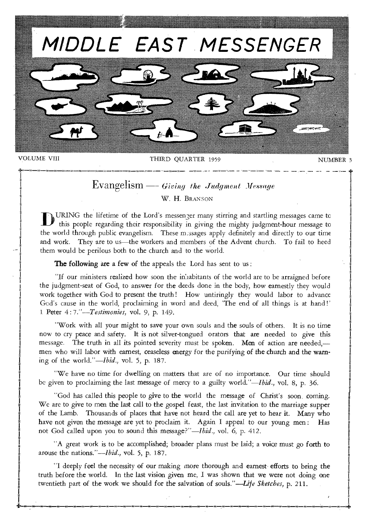

VOLUME VIII THIRD QUARTER 1959 NUMBER 3

## Evangelism – Giving the Judgment Message W. H. BRANSON

URING the lifetime of the Lord's messenger many stirring and startling messages came to this people regarding their responsibility in giving the mighty judgment-hour message to the world through public evangelism. These messages apply definitely and directly to our time and work. They are to us—the workers and members of the Advent church. To fail to heed them would be perilous both to the church and to the world.

The following are a few of the appeals the Lord has sent to us:

nill loll ntt t to 111/ 1111 111/ 41 1111 III 11 ' 1111 " '1 ''' .1 '1

"if our ministers realized how soon the inilabitants of the world are to be arraigned before the judgment-seat of God, to answer for the deeds done in the body, how earnestly they would work together with God to present the truth! How untiringly they would labor to advance God's cause in the world, proclaiming in word and deed, The end of all things is at hand!' 1 Peter 4 : *7."—T estimonies, vol.* 9, p. 149.

"Work with all your might to save your own souls and the souls of others. It is no time now to cry peace and safety. It is not silver-tongued orators that are needed to give this message. The truth in all its pointed severity must be spoken. Men of action are needed, men who will labor with earnest, ceaseless energy for the purifying of the church and the warning of the world."—Ibid., *vol.* 5, p. 187.

"We have no time for dwelling on matters that are of no importance. Our time should be given to proclaiming the last message of mercy to a guilty world."—Ibid., vol. 8, p. 36.

"God has called this people to give to the world the message of Christ's soon, coming. We are to give to men the last call to the gospel feast, the last invitation to the marriage supper of the Lamb. Thousands of places that have not heard the call are yet to hear it. Many who have not given the message are yet to proclaim it. Again I appeal to our young men: Has not God called upon you to sound this message?"—Ibid., vol. 6, p. 412.

"A great work is to be accomplished; broader plans must be laid; a voice must go forth to arouse the nations."—*Ibid.*, vol. 5, p. 187.

"I deeply feel the necessity of our making more thorough and earnest efforts to bring the truth before the world. In the last vision given me, I was shown that we were not doing one twentieth part of the work we should for the salvation of souls."—Life *Sketches,* p. 211.

01.111111111 111....1111 1111../..111 00 011 I 01 101 00 lu 1111 01 01 0 tin 00 Int int 1W 01 0 0 1u Il 0 a+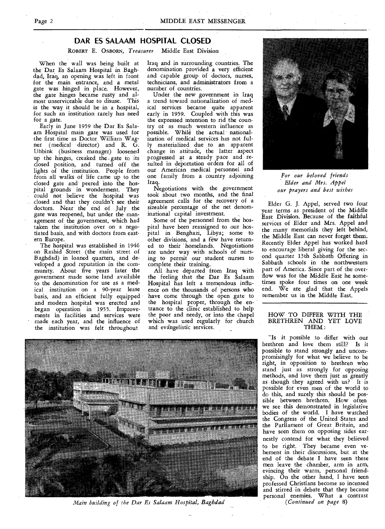### **DAR ES SALAAM HOSPITAL CLOSED**

ROBERT E. OSBORN, *Treasurer* Middle East Division

When the wall was being built at the Dar Es Salaam Hospital in Baghdad, Iraq, an opening was left in front for the main entrance, and a metal gate was hinged in place. However, the gate hinges became rusty and almost unserviceable due to disuse. This is the way it should be in a hospital, for such an institution rarely has need for a gate.

Early in June 1959 the Dar Es Salaam Hospital main gate was used for the first time as Doctor William Wagner (medical director) and R. G. Ubbink (business manager) loosened up the hinges, creaked the gate to its closed position, and turned off the lights of the institution. People from from all walks of life came up to the closed gate and peered into the hospital grounds in wonderment. They could not believe the hospital was closed and that they couldn't see their doctors. Near the end of July the gate was reopened, but under the management of the government, which had taken the institution over on a negotiated basis, and with doctors from eastern Europe.

The hospital was established in 1946 on Rashid Street (the main street of Baghdad) in loaned quarters, and developed a good reputation in the community. About five years later the government made some land available to the denomination for use as a medical institution on a 90-year lease basis, and an efficient fully equipped and modern hospital was erected and began operation in 1955. Improvements in facilities and services were made each year, and the influence of the institution was felt throughout

Iraq and in surrounding countries. The denomination provided a very efficient and capable group of doctors, nurses, technicians, and administrators from a number of countries.

Under the new government in Iraq a trend toward nationalization of medical services became quite apparent early in 1959. Coupled with this was the expressed intention to rid the country or as much western influence as possible. While the actual nationalization of medical services has not fully materialized due to an apparent change in attitude, the latter aspect progressed at a steady pace and resulted in deportation orders for all of our American medical personnel and one family from a country adjoining Iraq.

Negotiations with the government took about two months, and the final agreement calls for the recovery of a sizeable percentage of the net denominational capital investment.

Some of the personnel from the hospital have been reassigned to our hospital in Benghazi, Libya; some to other divisions, and a few have returned to their homelands. Negotiations are under way with schools of nursing to permit our student nurses to complete their training.

All have departed from Iraq with the feeling that the Dar Es Salaam Hospital has left a tremendous influence on the thousands of persons who have come through the open gate to the hospital proper, through the entrance to the clinic established to help the poor and needy, or into the chapel which was used regularly for church and evangelistic services.



*For our beloved friends Elder and Mrs. Appel our prayers and best wishes* 

Elder G. J. Appel, served two four year terms as president of the Middle East Division. Because of the faithful services of Elder and Mrs. Appel and the many memorials they left behind, the Middle East can never forget them. Recently Elder Appel has worked hard to encourage liberal giving for the second quarter 13th Sabbath Offering in Sabbath schools in the northwestern part of America. Since part of the overflow was for the Middle East he sometimes spoke four times on one week end. We are glad that the Appels remember us in the Middle East.

#### HOW TO DIFFER WITH THE BRETHREN AND YET LOVE THEM:

"Is it possible to differ with our brethren and love them still? Is it possible to stand strongly and uncompromisingly for what we believe to be right, in opposition to brethren who stand just as strongly for opposing methods, and love them just as greatly as though they agreed with us? It is possible for even men of the world to do this, and surely this should be possible between brethren. How often we see this demonstrated in legislative bodies of the world. I have watched the Congress of the United States and the Parliament of Great Britain, and have seen them on opposing sides earnestly contend for what they believed to be right. They became even vehement in their discussions, but at the end of the debate I have seen these men leave the chamber, arm in arm, evincing their warm, personal friendship. On the other hand, I have seen professed Christians become so incensed and stirred in debate that they became personal enemies. What a contrast (Continued on page 8)



*Main building of the Dar Es Salaam Hospital, Baghdad*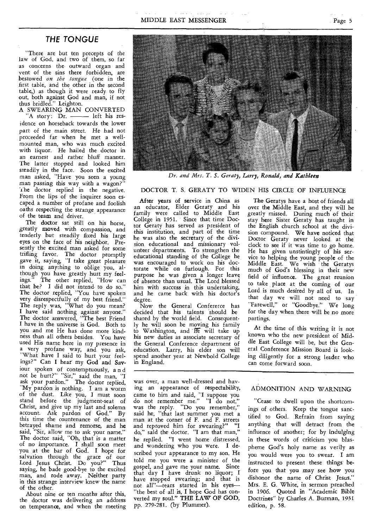#### THE TONGUE

"There are but ten precepts of the law of God, and two of them, so far as concerns the outward organ and vent of the sins there forbidden, are bestowed *on the tongue* (one in the first table, and the other in the second table,) as though it were ready to fly out, both against God and man, if not thus bridled." Leighton.

A SWEARING MAN CONVERTED 'A story: Dr. - left his residence on horseback towards the lower part of the main street. He had not proceeded far when he met a wellmounted man, who was much excited with liquor. He hailed the doctor in *an* earnest and rather bluff manner. The latter stopped and looked him steadily in the face. Soon the excited man asked, "Have you seen a young man *passing* this way with a wagon?" The doctor replied in the negative. From the lips of the inquirer soon escaped a number of profane and foolish oaths respecting the strange appearance of the team and driver.

The doctor sat still on his horse, greatly moved with compassion, and tenderly but steadily fixed his large eyes on the face of his neighbor. Presently the excited man asked for some trifling favor. The doctor promptly *gave* it, *saying,* "I take *great* pleasure in doing anything to oblige you, although you have greatly hurt my feel-<br>ings." The other replied, "How can The other replied, "How can that be? I did not intend to do so." The doctor replied, "You have spoken very disrespectfully of my best friend." The reply was, "What do you mean? I have said nothing against anyone." The doctor answered, "The best Friend I have in the universe is God. Both to you and me He has done more kindness than all others besides. You have used His name here in my presence in a very profane way, and you ask, "What have I said to hurt your feelings?" Can I hear my God and Saviour spoken of contemptuously, a n d not be hurt?" "Sir," said the man, "I ask your pardon." The doctor replied, "My pardon is nothing. I am a worm of the dust. Like you, I must soon stand before the judgment-seat of Christ, and give up my last and solemn account. Ask pardon of God." By this time the countenance of the man betrayed shame and remorse, and he said, "Sir, allow me to ask your name." The doctor said, "Oh, that is a matter of no *importance. I* shall soon meet you at the bar of God. I hope for salvation through the grace of our Lord Jesus Christ. Do you?" Thus saying, he bade good-bye to the excited man, and rode away. Neither party in this strange interview knew the name of the other.

About nine or ten months after this, the doctor was delivering an address on temperance, and when the meeting

After years of service in China as an educator, Elder Geraty and his family were called to Middle East College in 1951. Since that time Doctor Geraty has served as president of this institution, and part of the time he was also the secretary of the division educational and missionary volunteer departments. To strengthen the educational standing of the College he was encouraged to work on his doctorate while on furlough. For this purpose he was given a longer leave of absence than usual. The Lord blessed him with *success* in *this* undertaking, and he came back with his doctor's degree.

Now the General Confererce has decided that his talents 'should be shared by the world field. Consequently he will soon be moving his family to Washington, and He will take up his new duties as associate secretary of the General Conference department of education. Larry, his elder son will spend another year at Newbold College in England.

was over, a man well-dressed and having an appearance of respectability, came to him and said, "I suppose you do not remember me." "I do not," was the reply. "Do you remember," said he, "that last summer you met a man at the corner of F. and F. streets and reproved him for swearing?" "I do," said the doctor. "I am that man," he replied. "I went home distressed, and wondering who you were. I described your appearance to my son. He told me you were a minister of the gospel, and gave me your name. Since that day I have drunk no liquor; I have stopped swearing; and that is not all"—tears started in his eyes— "the best of all is, I hope God has converted my soul." THE LAW OF GOD, pp. 279-281. (by Plummer).

The Geratys have a host of friends all over the Middle East, and they will be greatly missed. During much of their stay here Sister Geraty has taught in the English church school at the division compound. We have noticed that Doctor Geraty never looked at the clock to see if it was time to go home. He has given unstintingly of his service to helping the young people of the Middle East. We wish the Geratys much of God's blessing in their new field of influence. The great reunion to take place at the coming of our Lord is much desired by all of us. In that day we will not need to say "Farewell," or "Goodbye." We long for the day when there will be no more partings.

At the time of this writing it is not known who the new president of Middle East College will be, but the General Conference Mission Board is looking diligently for a strong leader who can come forward soon.

#### ADMONITION AND WARNING

"Cease to dwell upon the shortcomings of others. Keep the tongue sanctified to God. Refrain from saying anything that will detract from the influence of another; for by indulging in these words of criticism you blaspheme God's holy name as verily as you would were you to swear. I am instructed to present these things before you that you may *see* how you dishonor the name of Christ Jesus." Mrs. E. G. White, in sermon preached in 1906. Quoted in "Academic Bible Doctrines" by Charles A. Burman, 1931 edition, p. 58.



*Dr. and Mrs. T. S. Geraty, Larry, Ronald, and Kathleen* 

#### DOCTOR T. S. GERATY TO WIDEN HIS CIRCLE OF INFLUENCE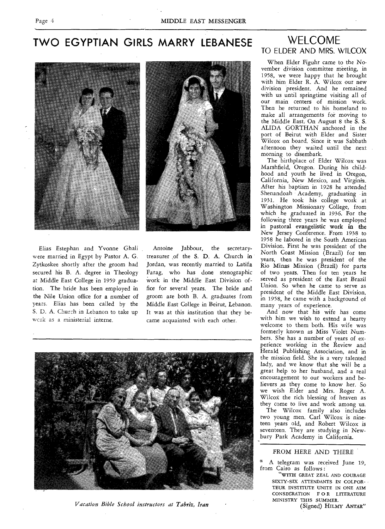## **TWO EGYPTIAN GIRLS MARRY LEBANESE** WELCOME



Elias Estephan and Yvonne Ghali were married in Egypt by Pastor A. G. Zytkoskee shortly after the groom had secured his B. A. degree in Theology at Middle East College in 1959 graduation. The bride has been employed in the Nile Union office for a number of years. Elias has been called by the S. D. A. Church in Lebanon to take up wcrk as a ministerial interne.

Antoine Jabbour, the secretarytreasurer ,of the S. D. A. Church in Jordan, was recently married to Latifa Farag, who has done stenographic Work in the Middle East Division office for several years. The bride and groom are both B. A. graduates from Middle East College in Beirut, Lebanon. It was at this institution that they became acquainted with each other.



*Vacation Bible School instructors at Tabriz, Iran* 

# TO ELDER AND MRS. WILCOX

When Elder Figuhr came to the November division committee meeting, in 1958, we were happy that he brought with him Elder R. A. Wilcox our new division president. And he remained with us until springtime visiting all of our main centers of mission work. Then he returned to his homeland to make all arrangements for moving to the Middle East. On August 8 the S. S. ALIDA GORTHAN anchored in the port of Beirut with Elder and Sister Wilcox on board. Since it was Sabbath afternoon they waited until the next morning to disembark.

The birthplace of Elder Wilcox was Marshfield, Oregon. During his childhood and youth he lived in Oregon, California, New Mexico, and Virginia. After his baptism in 1928 he attended Shenandoah Academy, graduating in 1931. He took his college work at Washington Missionary College, from which he graduated in 1936. For the following three years he was employed in pastoral evangelistic work in the New Jersey Conference. From 1938 to 1958 he labored in the South American Division. First he was president of the North Coast Mission (Brazil) for ten years, then he was president of the Rio Minas Mission (Brazil) for parts of two years. Then for ten years he served as president of the East Brazil Union. So when he came to serve as president of the Middle East Division, in 1958, he came with a background of many years of experience.

And now that his wife has come with him we wish to extend a hearty welcome to them both. His wife was formerly known as Miss Violet Numbers. She has a number of years of experience working in the Review and Herald Publishing Association, and in the mission field. She is a very talented lady, and we know that she will be a great help to her husband, and a real encouragement to our workers and believers as they come to know her. So we wish Elder and Mrs. Roger A. Wilcox the rich blessing of heaven as they come to live and work among us.

The Wilcox family also includes two young men. Carl Wilcox is nineteen years old, and Robert Wilcox is seventeen. They are studying in Newbury Park Academy in California.

#### FROM HERE AND THERE

\* A telegram was received June 19, from Cairo as follows :

"WITH GREAT ZEAL AND COURAGE SIXTY-SIX ATTENDANTS IN COLPOR-TEUR INSTITUTE UNITE IN ONE AIM CONSECRATION E 0 R LITERATURE MINISTRY THIS SUMMER.

(Signed) HILMY ANTAR"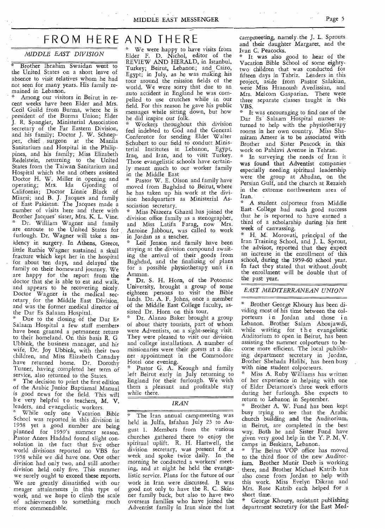MIDDLE EAST MESSENGER Page 5

## FROM HERE AND THERE

#### *MIDDLE EAST DIVISION*

Brother Ibrahim Swaidan went to the United States on a short leave of absence to visit relatives whom he had not seen for many, years. His family remained in Lebanon.

\* Among our visitors in Beirut in recent weeks have been Elder and Mrs. Cecil Guild from Burma, where he is president of the Burma Union; Elder J. R. Spangler, Ministerial Association secretary of the Far Eastern Division, and his family; Doctor J. W. Schnep-per, chief surgeon at the Manila Sanitarium and Hospital in the Philippines, and his family; Miss Elizabeth Redelstein, returning to the United States from the Taiwan Sanitarium and Hospital which she and others assisted Doctor H. W. Miller in opening and operating; Mrs. Ida Gjording of California; Doctor Linnie Black of Miami; and B. J. Jacques and family of East Pakistan. The Jacques made a number of visits here and there with Brother Jacques' sister, Mrs. K. L. Vine. Dr. William Wagner and family are enroute to the United States for furlough. Dr. Wagner will take a residency in surgery. In Athens, Greece, little Ruthie Wagner sustained a skull fracture which kept her in the hospital for about ten days, and delayed the family on their homeward journey. We are happy for the report from the doctor that she is able to eat and walk, and appears to be recovering nicely. Doctor Wagner is the medical secretary for the Middle East Division, and was the former medical director of the Dar Es Salaam Hospital.

Due to the closing of the Dar Es Salaam Hospital a few staff members have been granted a permanent return to their homeland. On this basis R. G Ubbink, the business manager, and his wife, Dr. Joy Ubbink, with their two children, and Miss Elizabeth Canaday have returned home. Dr. Dorothy Turner, having completed her term of service, also returned to the States.

The decision to print the first edition of the Arabic Junior Baptismal Manual is good news for the field. This will be very helpful to teachers, M. V. leaders, and evangelistic workers.

While only one Vacation Bible School was reported, in this division in 1958 yet a good number are being planned for 1959's summer season. Pastor Anees Haddad found slight consolation in the fact that five other world divisions reported no VBS for 1958 while we did have one. One other division had only two, and still another division held only five. This summer we surely ought to exceed these reports. We are greatly dissatisfied with our meager attainments in this type of work, and we hope to climb the scale of achievments to something much more commendable.

#### We were happy to have visits from Elder F. D. Nichol, editor of the REVIEW AND HERALD, in Istanbul, Turkey; Beirut, Lebanon; and Cairo, Egypt; in July, as he was making his tour around the mission fields of the world. We were sorry that due to an auto accident in England he was compelled to use crutches while in our field. For this reason he gave his public

he did inspire our folk. Workers throughout this division feel indebted to God and the General Conference for sending Elder Walter Schubert to our field to conduct Ministerial Institutes in Lebanon, Egypt, Iraq, and Iran, and to visit Turkey. Those evangelistic schools have certainly meant much to our worker family in the Middle East

messages while sitting down, but how

Pastor W. E. Olson and family have moved from Baghdad to Beirut, where he has taken up his work at the division headquarters as Ministerial Association secretary.

Miss Nazeera Ghazal has joined the division office family as a stenographer, and Miss Latifa Farag, now Mrs. Antoine Jabbour, was called to work in Jordan as a teacher.

Leif Jenson and family have been staying at the division compound awaiting the arrival of their goods from Baghdad, and the finalizing of plans for a possible physiotherapy unit i n Amman.

Dr. S. H. Horn, of the Potomac University, brought a group of some eighteen persons to visit the Bible lands. Dr. A. F. Johns, once a member of the Middle East College faculty, assisted Dr. Horn on this tour.

Dr. Alanzo Baker brought a group of about thirty tourists, part of whom were Adventists, on a sight-seeing visit They were pleased to visit our division and college installations. A number of missionaries were their guests at a dinner • appointment in the Commodore Hotel one evening.

Pastor G. A. Keough and family left Beirut early in July returning to England for their furlough. We wish them a pleasant and profitable stay while there.

#### *IRAN*

The Iran annual campmeeting was held in Julfa, Isfahan July 23 to August 1. Members from the various churches gathered there to enjoy the spiritual uplift. R. H. Hartwell, the division secretary, was present for a week and spoke twice daily. In the morning he conducted a workers' meeting, and at night he held the evangelistic service. Plans for the future of our work in Iran were discussed. It was good not only to have the R. C. Skinner family back, but also to have two overseas families who have joined the Adventist family in Iran since the last

campmeeting, namely. the J. L. Sprouts and their daughter Margaret, and the Ivan C. Peacocks.

\* It was also good to hear of the Vacation Bible School of some eightytwo children that was conducted for fifteen days in Tabriz. Leaders in this project, aside from Pastor Salakian, were Miss Hranoush Avedissian, and Mrs. Melcom Gasparian. There were three separate classes taught in this VBS.

\* It was encouraging to find one of the Dar Es Salaam Hospital nurses returned to help with the physiotherapy rooms in her own country. Miss Shamiram Ameer is to be associated with Brother and Sister Peacock in this work on Pahlavi Avenue in Tehran.

In surveying the needs of Iran it was found that Adventist companies especially needing spiritual leadership were the group at Abadan, on the Persian Gulf, and the church at Rezaieh in the extreme northwestern area of Iran.

A student colporteur from Middle East College had such good success that he is reported to have earned a third of a scholarship, during his first week of canvassing.

\* H. M. Morovati, principal of the Iran Training School, and J. L. Sprout, the advisor, reported that they expect an increase in the enrollment of this school, during the 1959-60 school year. In fact they stated that without\_ doubt the enrollment will be double that of the past year.

*EAST MEDITERRANEAN UNION* 

Brother George Khoury has been dividing most of his time between the colporteurs in Jordan and those in Lebanon. Brother Salam Aboujawdi, while waiting for the evangelistic Auditorium to open in Beirut, has been assisting the summer colporteurs to become more efficient. The local publishing department secretary in Jordan, Brother Shehada Halibi, has been busy with nine student colporteurs.

Miss A. Ruby Williams has written of her experience in helping with one of Elder Detamore's three week efforts during her furlough. She expects to return to Lebanon in September.

Brother A. W. Fund has been kept busy trying to see that the Arabic church building and the Auditorium, in Beirut, are completed in the best way. Both he and Sister Fund have given very good help in the Y. P. M. V. camps in Beskinta, Lebanon.

The Beirut VOP office has moved to the third floor of the new Auditorium. Brother Munir Deeb is working there, and Brother Michael Katrib has also come from Jordan to help with this work. Miss Evelyn Dikran and Mrs. Rose Katrib each helped for a short time.

George Khoury, assistant publishing department secretary for the East Med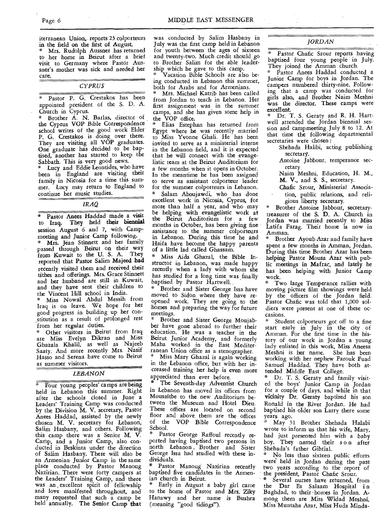iterranean Union, reports 23 colporteurs in the field on the first of August.

Mrs. Rudolph Aussner has returned to her home in Beirut after a brief visit to Germany where Pastor Aussner's mother was sick and needed her care.

|    | r |
|----|---|
| ., |   |
|    |   |
|    |   |
|    |   |

Pastor P. G. Crestakos has been appointed president of the S. D. A. Church in Cyprus.

\* Brother A. N. Barlas, director of the Cyprus VOP Bible Correspondence school writes of the good work Elder P. G. Crestakos is doing over there. They are visiting all VOP graduates. One graduate has decided to be baptised, another has started to keep the Sabbath. This is very good news.

Lucy and Eddie Leontides, who have been in England are visiting their family in Nicosia for a time this summer. Lucy may return to England to continue her music studies.

#### *IRAQ*

Pastor Anees Haddad made a visit to Iraq. They held **their biennial**  session August 6 and 7, with Campmeeting and Junior Camp following.

Mrs. Jean Stinnett and her family passed through Beirut on their way from Kuwait to the U. S. A. They reported that Pastor Salim Majeed **had**  recently visited them and received their tithes and offerings. Mrs. Grace Stinnett and her husband are still in Kuwait, and they have sent their children to the Vincent Hill school in India.

\* Miss Nowal Abdul Messih from Iraq is on leave. We hope for her good progress in building up her constitution as a result of prolonged rest from her regular duties.

\* Other visitors in Beirut from Iraq are Miss Evelyn Dikran and Miss Ghazala Khalil, as well as Najeeb Saaty. And more recently Mrs. Nasif Hasso and Serena have come to Beirut as summer visitors.

#### *LEBANON*

Four young peoples' camps are being held in Lebanon this summer. Right after the schools closed in June a Leaders' Training Camp was conducted by the Division M. V. secretary, Pastor Anees Haddad, assisted by the newly chosen M. V. secretary for Lebanon, Salim Hasbany, and others. Following this camp there was a Senior M. V. Camp, and a Junior Camp, also conducted in Beskinta under the direction of Salim Hasbany. There will also be an Armenian Junior Camp in the same place conducted by Pastor Manoug Nazirian. There were forty campers at the Leaders' Training Camp, and there was an, excellent spirit of fellowship and love manifested throughout, and many requested that such a camp be held annually. The Senior Camp that

was conducted by Salim Hasbany in July was the first camp held in Lebanon for youth between the ages of sixteen and twenty-two. Much credit should go to Brother Salim for the able leadership which he gave to this camp. \* Vacation Bible Schools are also be-

ing conducted in Lebanon this summer, both for Arabs and for Armenians.

Mrs. Michael Katrib has been called from Jordan to teach in Lebanon. Her first assignment was in the summer camps, and she has given some help in the VOP office.

Elias Estephan has returned from Egypt where he was recently married to Miss Yvonne Ghali. He has been invited to serve as a ministerial interne in the Lebanon field, and it is expected that he will connect with the evangelistic team at the Beirut Auditorium for a few months when it opens in October. In the meantime he has been assigned to serve as assistant colporteur leader for the summer colporteurs in Lebanon.<br>
\* Selem Aborientic who has done Salam Aboujawdi, who has done excellent work in Nicosia, Cyprus, for more than half a year, and who may be helping with evangelistic work at the Beirut Auditorium for a few months in October, has been giving fine assistance to the summer colporteurs in Lebanon. During this time he and Haifa have become the happy parents of a little lad called Ghassam.

Miss Aida Ghazal, the Bible Instructor in Lebanon, was made happy recently when a lady with whom she has studied for a long time was finally baptised by Pastor Hartwell..

Brother and Sister George Issa have moved to Sidon where they have reopened work. They are going to the homes and preparing the way for future meetings.

Brother and Sister George Moujabber have gone abroad to further their education. He was a teacher in the Beirut Junior Academy, and formerly Maha worked in the East Mediterranean Union office as a stenographer. Miss Mary Ghazal is again working in the Lebanon office, but with her increased training her help is even more appreciated than ever before.

The Seventh-day Adventist Church in Lebanon has moved its offices from Mousaitbe to the new Auditorium between the Museum and Hotel Dieu. These offices are located on second floor and above them are the offices<br>of the VOP Bible Correspondence VOP Bible Correspondence School.

Pastor George Raffoul recently reported having baptised two persons in north Lebanon Brother and Sister George Issa had studied with these individuals.

Pastor Manoug Nazirian recently baptised five candidates in the Armenian church in Beirut.

Early in August a baby girl came to the home of Pastor and Mrs. Ziky Hanawy and her name is Bushra (meaning "good tidings").

#### *JORDAN*

Pastor Chafic Srour reports having baptised four young people in July. They joined the Amman church.

• Pastor Anees Haddad conducted a Junior Camp for boys in Jordan. The campers numbered thirty-nine. Following that a camp was conducted for girls also, and Brother Naim Meshni was the director. These camps were excellent.

Dr. T. S. Geraty and R. H. Hartwell attended the Jordan biennial session and campmeeting July 8 to 12. At that time the following departmental secretaries were chosen :

Shehada Halibi, acting publishing secretary.

Antoine Jabbour, temperance secretary.

Naim Meshni, Education, H. M., M. V., and S. S., secretary.

Chafic Srour, Ministerial Association, public relations, and religious liberty secretary.

Brother Antoine Jabbour, secretarytreasurer of the S. D. A. Church in Jordan was married recently to Miss Latifa Farag. Their home is now in Amman.

Brother Ayoub Azar and family have spent a few months in Amman, Jordan. During this time Brother Azar has been helping Pastor Mousa Azar with public meetings in Mafrac, and lately he has been helping with Junior Camp work.

Two large Temperance rallies with moving picture film showings were held by the officers of the Jordan field. Pastor Chafic was told that 1,000 soldiers were present at one of these occasions.

Student colporteurs got off to a fine start early in July in the city of Amman. For the first time in the history of our work in Jordan a young lady enlisted in this work, Miss Aneesa Meshni is her name. She has been working with her nephew Farouk Fuad Samuel Haddad. They have both attended Middle East College.

\* Dr. T. S. Geraty and family visited the boys' Junior Camp in Jordan for a couple of days, and while in that vicinity Dr. Geraty baptized his son Ronald in the River Jordan. He had baptised his older son Larry there some years ago.

May 31 Brother Shehada Halabi wrote to inform us that his wife, Mary, had just presented him with a baby boy. They named their s o-n after Shehada's father Gibrial.

No less than sixteen public efforts were held in Jordan during the past two years according to the report of the president, Pastor Chafic Srour.

Several nurses have returned, from the Dar Es Salaam Hospital in Baghdad, to their •homes in Jordan. Among them are Miss Widad Meshni, Miss Muntaha Azar, Miss Huda Minda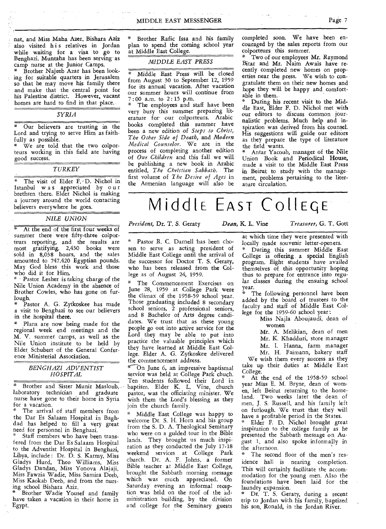nat, and Miss Maha Azer. Bishara Aziz also visited his relatives in Jordan while waiting for a visa to go to Benghazi. Muntaha has been serving as camp nurse at the Junior Camps.

\* Brother Najeeb Azar has been looking for suitable quarters in Jerusalem so that he may move his family there and make that the central point for his Palestine district. However, vacant homes are hard to find in that place.

*SYRIA* 

Our believers are trusting in the Lord and trying to serve Him as faithfully as possible.

\* We are told that the two colporteurs working in this field are having good success.

*TURKEY* 

The visit of Elder F.-D. Nichol in Istanbul w a s appreciated by our brethren there. Elder Nichol is making a journey around the world contacting believers everywhere he goes.

#### *NILE UNION*

At the end of the first four weeks of summer there were fifty-three colporteurs reporting, and the results are most gratifying. 2,430 books were sold in 8,038 hours, and the sales amounted to 747.420 Egyptian pounds. May God bless this work and those who did it for Him.

\* - Pastor Lesher is taking charge of the Nile Union Academy in the absence of Brother Cowles, who has gone on furlough.

Pastor A. G. Zytkoskee has made a visit to Benghazi to see our believers in the hospital there.

\* Plans are now being made for the regional week end meetings and the M. V. summer camps, as well as the Nile Union institute to be held by Elder Schubert of the General Conference Ministerial Association.

#### *BENGHAZI ADVENTIST HOSPITAL*

Brother and Sister Munir Masloub, laboratory technician and graduate nurse have gone to their home in Syria for a vacation.

The arrival of staff members from the Dar Es Salaam Hospital in Baghdad has helped to fill a very great need for personnel in Benghazi.

Staff members who have been transfered from the Dar Es Salaam Hospital to the Adventist Hospital in Benghazi, Libya, include : Dr. D. S. Karmy, Miss Gladys Hurd, Theo Williams, Miss Gladys Dandan, Miss Yonova Alajaji, Miss Fawzia Wadie, Miss Samira Deeb, Miss Kaokab Deeb, and from the nursing school Bishara Aziz.

Brother Wadie Yousef and family have taken a vacation in their home in Egypt.

Brother Rafic Issa and his family plan to spend the coming school year at Middle East College.

#### *MIDDLE EAST PRESS*

\* Middle East Press will be closed from August 30 to September 12, 1959 for its annual vacation. After vacation our summer hours will continue from 7 : 00 a.m. to 2 : 15 p.m.

The employees and staff have been very busy this summer preparing literature for our colporteurs. Arabic books completed this summer have been a new edition of *Steps to Christ, The Other Side of Death,* and *Modern Medical Counselor.* We are in the process of completing another edition of *Our Children* and this fall we will be publishing a new book in Arabic entitled, *The Christian Sabbath.* The first volume of *The Desire of Ages* in the Armenian language will also be completed soon. We have been encouraged by the sales reports from our colporteurs this summer.

Two of our employees Mr. Raymond Bitar and Mr. Naim Awais have recently completed new homes on properties near the press. We wish to congratulate them on their new homes and hope they will be happy and comfortable in them.

During his recent visit to the Middle East, Elder F. D. Nichol met with our editors to discuss common journalistic problems. Much help and inspiration was derived from his counsel. His suggestions will guide our editors as they prepare the type of literature the field wants.

Antar Yacoub, manager of the Nile Union Book and Periodical House, made a visit to the Middle East Press in Beirut to study with the management, problems pertaining to the literature circulation.

## Middle East College

*President,* Dr. T. *S.* Geraty *Dean,* K. L. Vine *Treasurer,* G. T. Gott

\* Pastor R. C. Darnell has been chosen to serve as acting president of Middle East College until the arrival of the successor for Doctor T. S. Geraty, who has been released from the College as of August 24, 1959.

The Commencement Exercises on June 28, 1959 at College Park were the climax of the 1958-59 school year. Those graduating included 8 secondary school seniors, 2 professional seniors, and 8 Bachelor of Arts degree candidates. We trust that as these young people go out into active service for the Lord they may be able to put into practice the valuable principles which they have learned at Middle East College. Elder A. G. Zytkoskee delivered the commencement address.

• On June 6, an impressive baptismal service was held at College Park chuch. Ten students followed their Lord in baptism. Elder K. L. Vine, church pastor, was the officiating minister. We wish them the Lord's blessing as they join the church family.

\* Middle East College was happy to welcome Dr. S. H. Horn and his group from the S. D. A. Theological Seminary who were on a guided tour in the Bible lands. They brought us much inspiration as they conducted the July 17-18 weekend services at College Park church. Dr. A. F. Johns, a former Bible teacher at Middle East College, brought the Sabbath morning message which was much appreciated. On Saturday evening an informal reception was held on the roof of the administration building, by the division and college for the Seminary guests

at which time they were presented with locally made souvenir letter-openers. During this summer Middle East College is offering a special English program. Eight students have availed themselves of this opportunity hoping

thus to prepare for entrance into regular classes during the ensuing school year.

The following personnel have been added by the board of trustees to the faculty and staff of Middle East College for the 1959-60 school year:

Miss Najla Aboujaudi, dean of women

Mr. A. Melikian, dean of men Mr. K. Khadduri, store manager

Mr. I. Hanna, farm manager Mr. H. Faimann, bakery staff

We wish them every success as they take up their duties at Middle East College.

At the end of the 1958-59 school year Miss E. M. Bryne, dean of women, left Beirut returning to the homeland. Two weeks later the dean of men, J. S. Russell, and his family left on furlough. We trust that they will

have a profitable period in the States. \* Elder F. D. Nichol brought great inspiration to the college family as he presented the Sabbath message on August 1, and also spoke informally in the afternoon.<br>\* The second

The second floor of the men's residence hall is nearing completion. This will certainly facilitate the accommodation for the young men. Also the foundations have been laid for the laundry expansion. \* Dr. T. S. Geraty, during a recent

trip to Jordan with his family, baptized his son, Ronald, in the Jordan River.